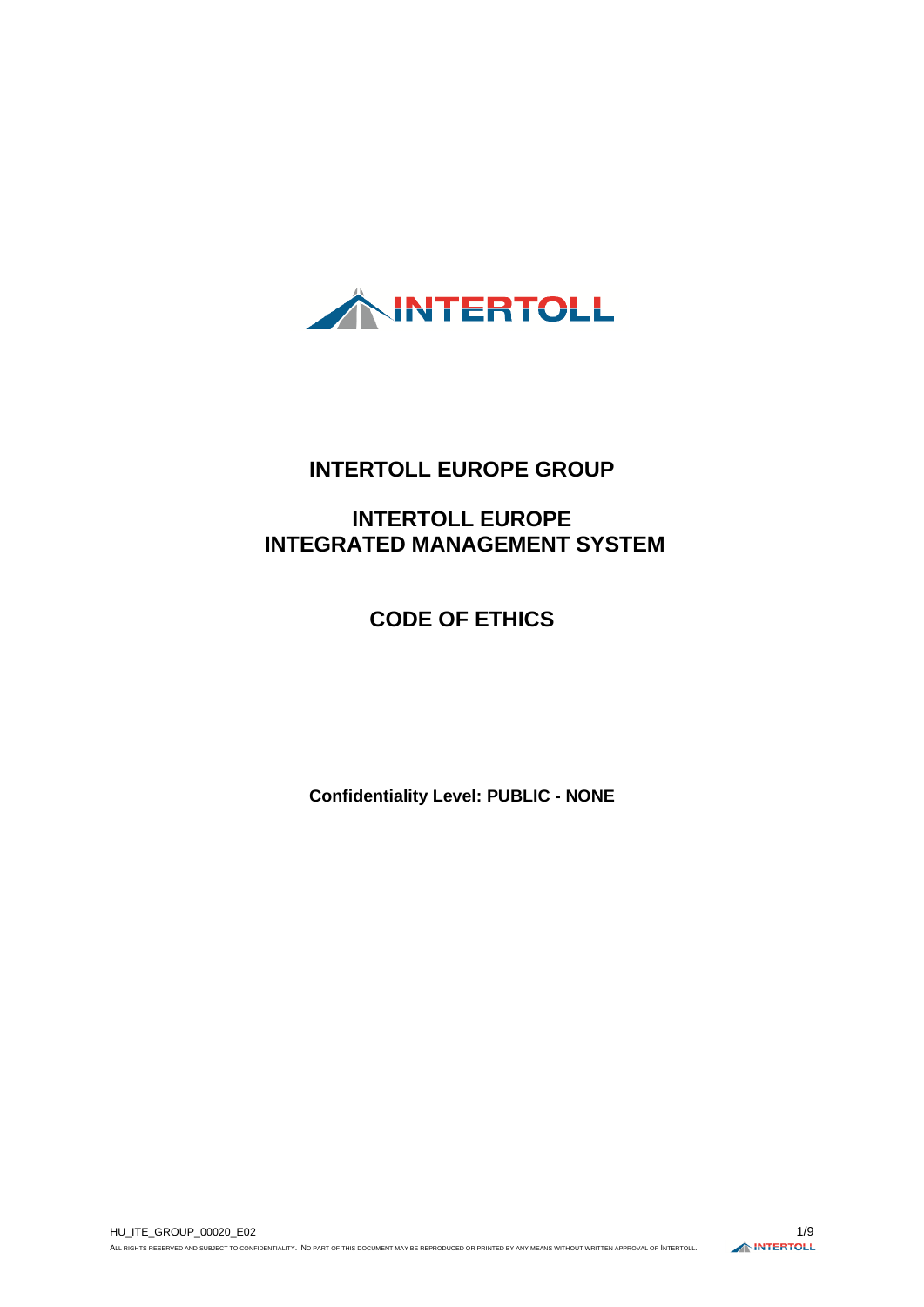

# **INTERTOLL EUROPE GROUP**

# **INTERTOLL EUROPE INTEGRATED MANAGEMENT SYSTEM**

# **CODE OF ETHICS**

**Confidentiality Level: PUBLIC - NONE**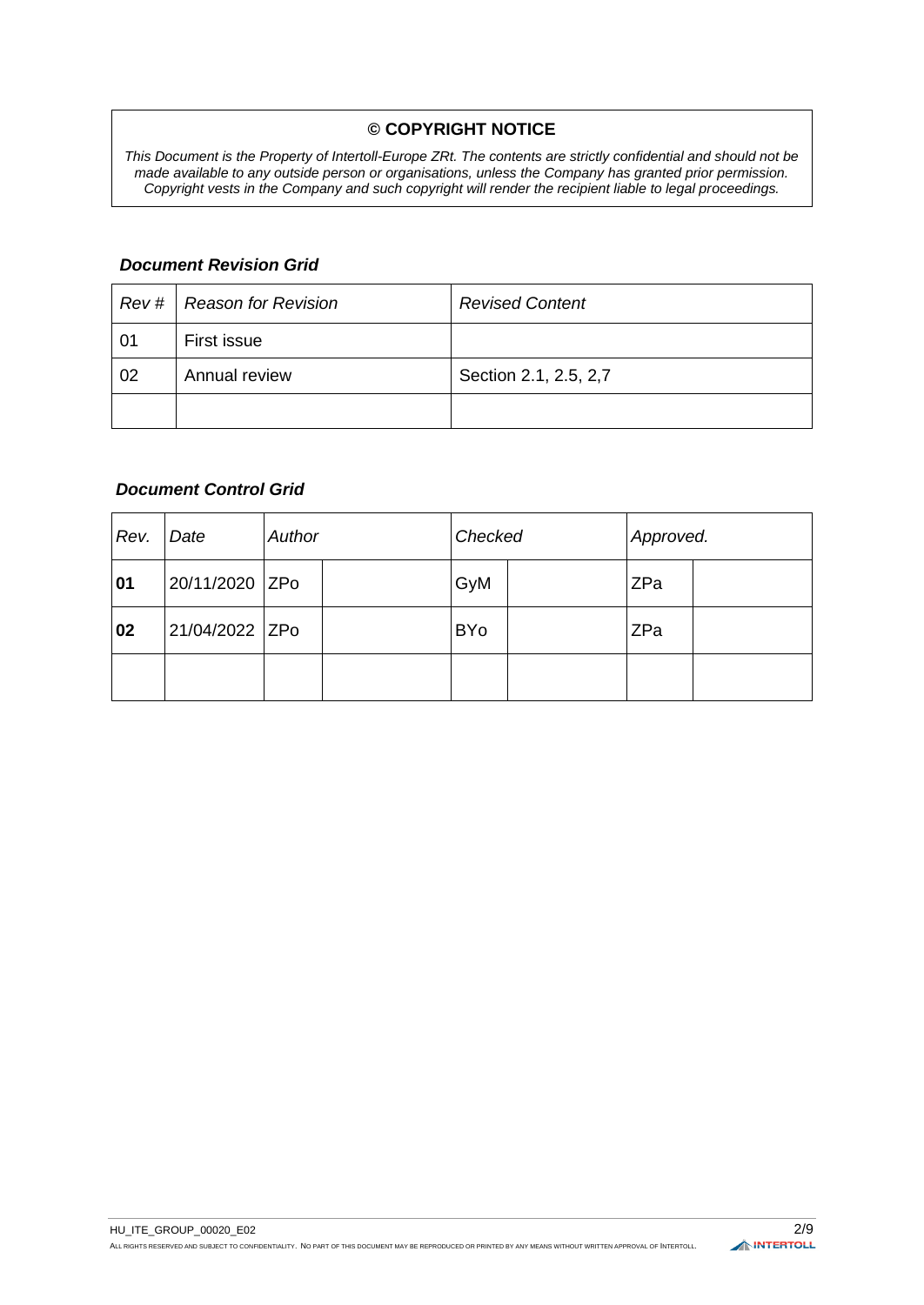### **© COPYRIGHT NOTICE**

*This Document is the Property of Intertoll-Europe ZRt. The contents are strictly confidential and should not be made available to any outside person or organisations, unless the Company has granted prior permission. Copyright vests in the Company and such copyright will render the recipient liable to legal proceedings.*

### *Document Revision Grid*

|    | Rev #   Reason for Revision | <b>Revised Content</b> |
|----|-----------------------------|------------------------|
| 01 | First issue                 |                        |
| 02 | Annual review               | Section 2.1, 2.5, 2,7  |
|    |                             |                        |

#### *Document Control Grid*

| Rev. | Date           | Author |  | Checked    |  | Approved. |  |
|------|----------------|--------|--|------------|--|-----------|--|
| 01   | 20/11/2020 ZPo |        |  | GyM        |  | ZPa       |  |
| 02   | 21/04/2022 ZPo |        |  | <b>BYo</b> |  | ZPa       |  |
|      |                |        |  |            |  |           |  |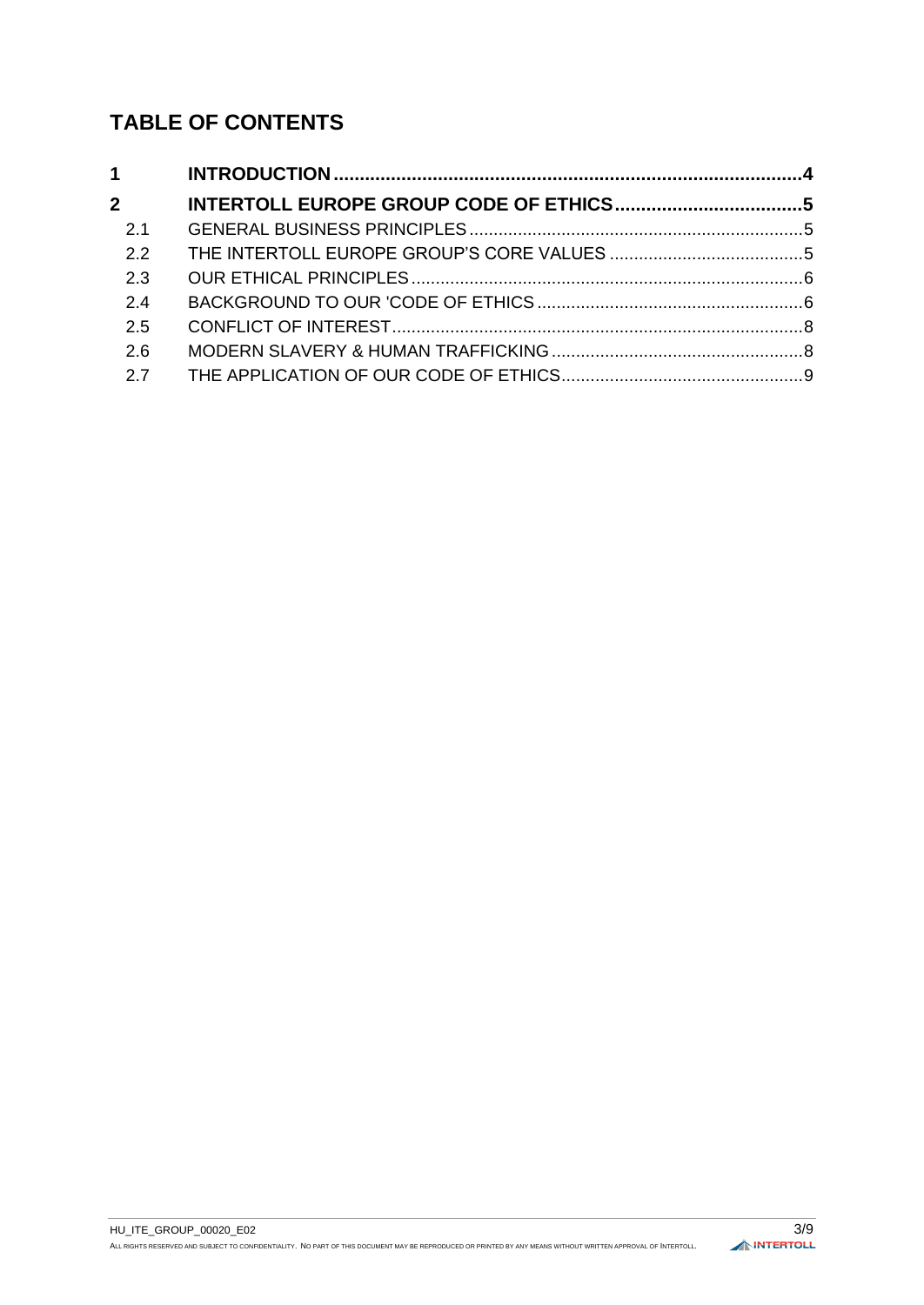# **TABLE OF CONTENTS**

| $1 \quad \blacksquare$ |  |  |  |  |
|------------------------|--|--|--|--|
| $\overline{2}$         |  |  |  |  |
| 2.1                    |  |  |  |  |
| 2.2                    |  |  |  |  |
| 2.3                    |  |  |  |  |
| 24                     |  |  |  |  |
| 2.5                    |  |  |  |  |
| 2.6                    |  |  |  |  |
| 2.7                    |  |  |  |  |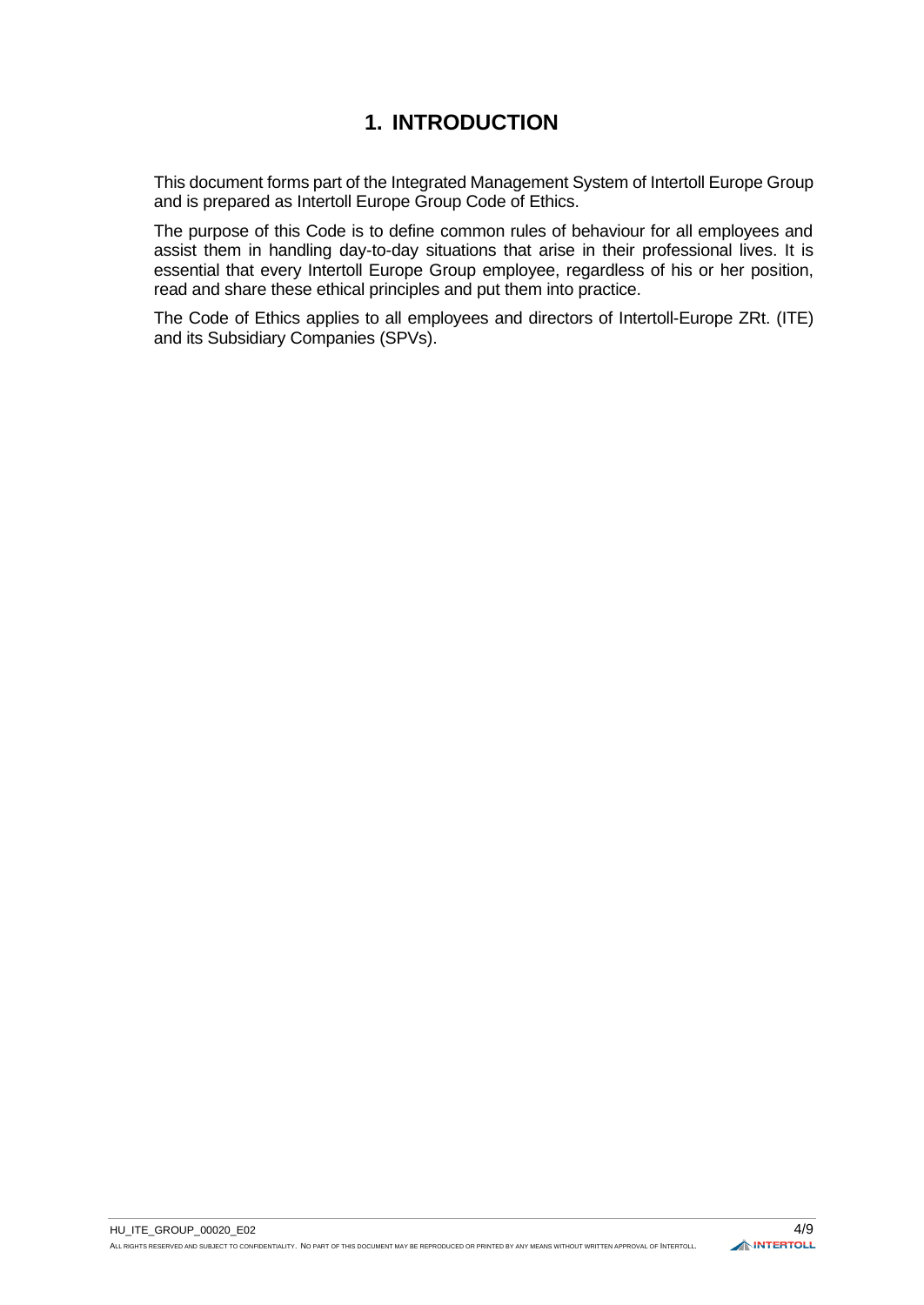# **1. INTRODUCTION**

<span id="page-3-0"></span>This document forms part of the Integrated Management System of Intertoll Europe Group and is prepared as Intertoll Europe Group Code of Ethics.

The purpose of this Code is to define common rules of behaviour for all employees and assist them in handling day-to-day situations that arise in their professional lives. It is essential that every Intertoll Europe Group employee, regardless of his or her position, read and share these ethical principles and put them into practice.

The Code of Ethics applies to all employees and directors of Intertoll-Europe ZRt. (ITE) and its Subsidiary Companies (SPVs).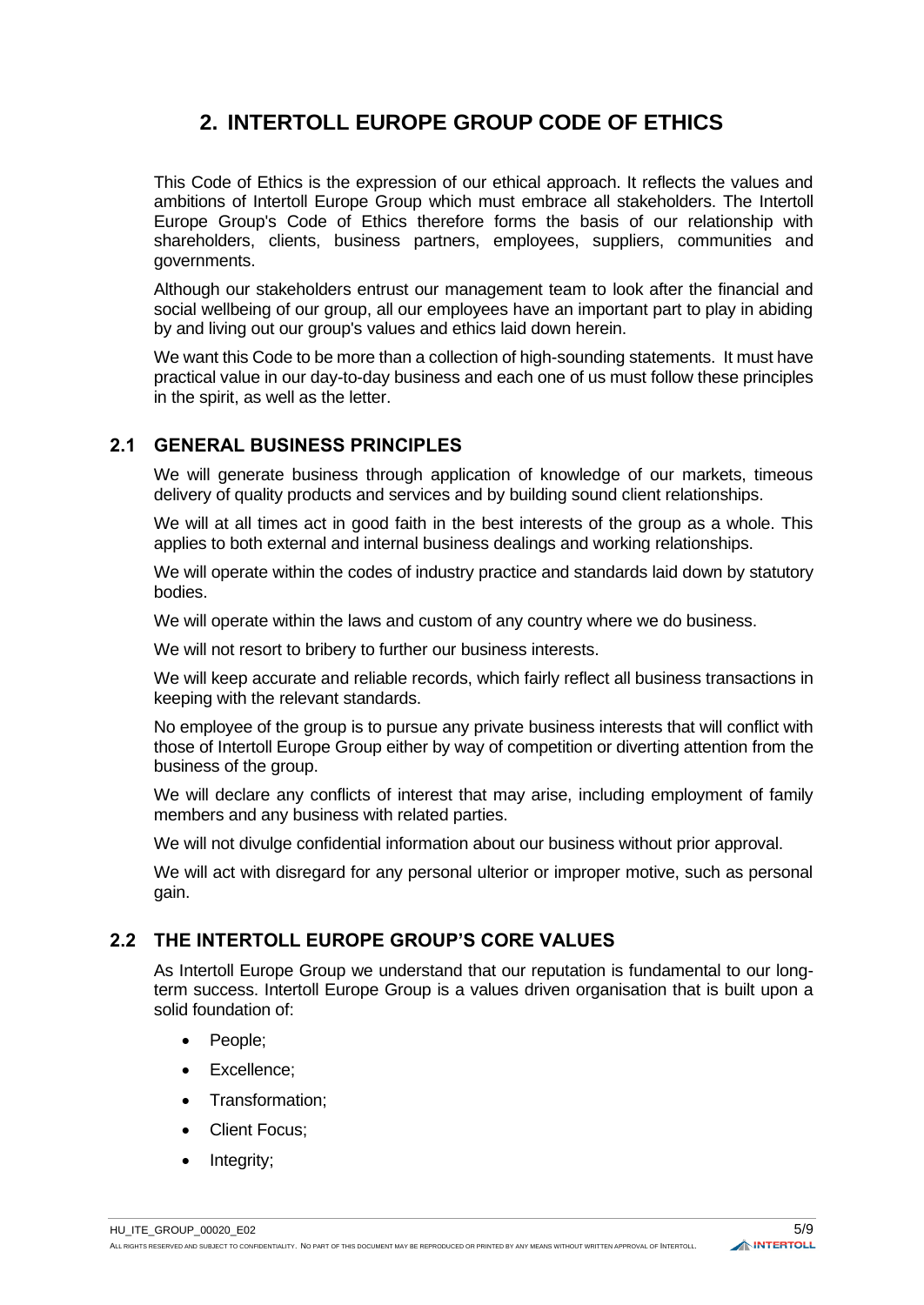# **2. INTERTOLL EUROPE GROUP CODE OF ETHICS**

<span id="page-4-0"></span>This Code of Ethics is the expression of our ethical approach. It reflects the values and ambitions of Intertoll Europe Group which must embrace all stakeholders. The Intertoll Europe Group's Code of Ethics therefore forms the basis of our relationship with shareholders, clients, business partners, employees, suppliers, communities and governments.

Although our stakeholders entrust our management team to look after the financial and social wellbeing of our group, all our employees have an important part to play in abiding by and living out our group's values and ethics laid down herein.

We want this Code to be more than a collection of high-sounding statements. It must have practical value in our day-to-day business and each one of us must follow these principles in the spirit, as well as the letter.

# <span id="page-4-1"></span>**2.1 GENERAL BUSINESS PRINCIPLES**

We will generate business through application of knowledge of our markets, timeous delivery of quality products and services and by building sound client relationships.

We will at all times act in good faith in the best interests of the group as a whole. This applies to both external and internal business dealings and working relationships.

We will operate within the codes of industry practice and standards laid down by statutory bodies.

We will operate within the laws and custom of any country where we do business.

We will not resort to bribery to further our business interests.

We will keep accurate and reliable records, which fairly reflect all business transactions in keeping with the relevant standards.

No employee of the group is to pursue any private business interests that will conflict with those of Intertoll Europe Group either by way of competition or diverting attention from the business of the group.

We will declare any conflicts of interest that may arise, including employment of family members and any business with related parties.

We will not divulge confidential information about our business without prior approval.

We will act with disregard for any personal ulterior or improper motive, such as personal gain.

# <span id="page-4-2"></span>**2.2 THE INTERTOLL EUROPE GROUP'S CORE VALUES**

As Intertoll Europe Group we understand that our reputation is fundamental to our longterm success. Intertoll Europe Group is a values driven organisation that is built upon a solid foundation of:

- People;
- Excellence;
- Transformation;
- **Client Focus:**
- Integrity;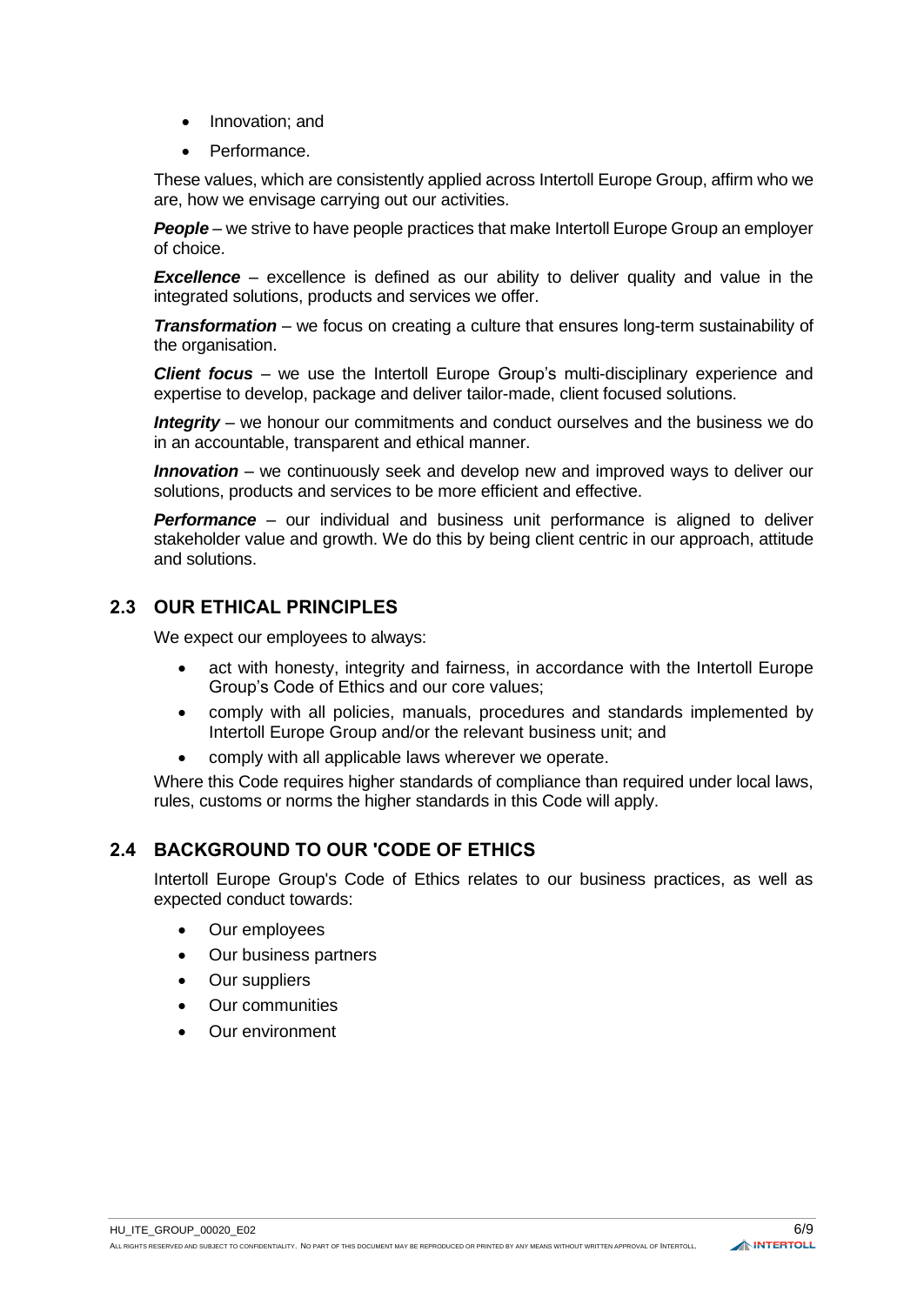- Innovation; and
- Performance.

These values, which are consistently applied across Intertoll Europe Group, affirm who we are, how we envisage carrying out our activities.

*People* – we strive to have people practices that make Intertoll Europe Group an employer of choice.

*Excellence* – excellence is defined as our ability to deliver quality and value in the integrated solutions, products and services we offer.

*Transformation* – we focus on creating a culture that ensures long-term sustainability of the organisation.

*Client focus* – we use the Intertoll Europe Group's multi-disciplinary experience and expertise to develop, package and deliver tailor-made, client focused solutions.

*Integrity* – we honour our commitments and conduct ourselves and the business we do in an accountable, transparent and ethical manner.

*Innovation* – we continuously seek and develop new and improved ways to deliver our solutions, products and services to be more efficient and effective.

**Performance** – our individual and business unit performance is aligned to deliver stakeholder value and growth. We do this by being client centric in our approach, attitude and solutions.

# <span id="page-5-0"></span>**2.3 OUR ETHICAL PRINCIPLES**

We expect our employees to always:

- act with honesty, integrity and fairness, in accordance with the Intertoll Europe Group's Code of Ethics and our core values;
- comply with all policies, manuals, procedures and standards implemented by Intertoll Europe Group and/or the relevant business unit; and
- comply with all applicable laws wherever we operate.

Where this Code requires higher standards of compliance than required under local laws, rules, customs or norms the higher standards in this Code will apply.

## <span id="page-5-1"></span>**2.4 BACKGROUND TO OUR 'CODE OF ETHICS**

Intertoll Europe Group's Code of Ethics relates to our business practices, as well as expected conduct towards:

- Our employees
- Our business partners
- Our suppliers
- Our communities
- Our environment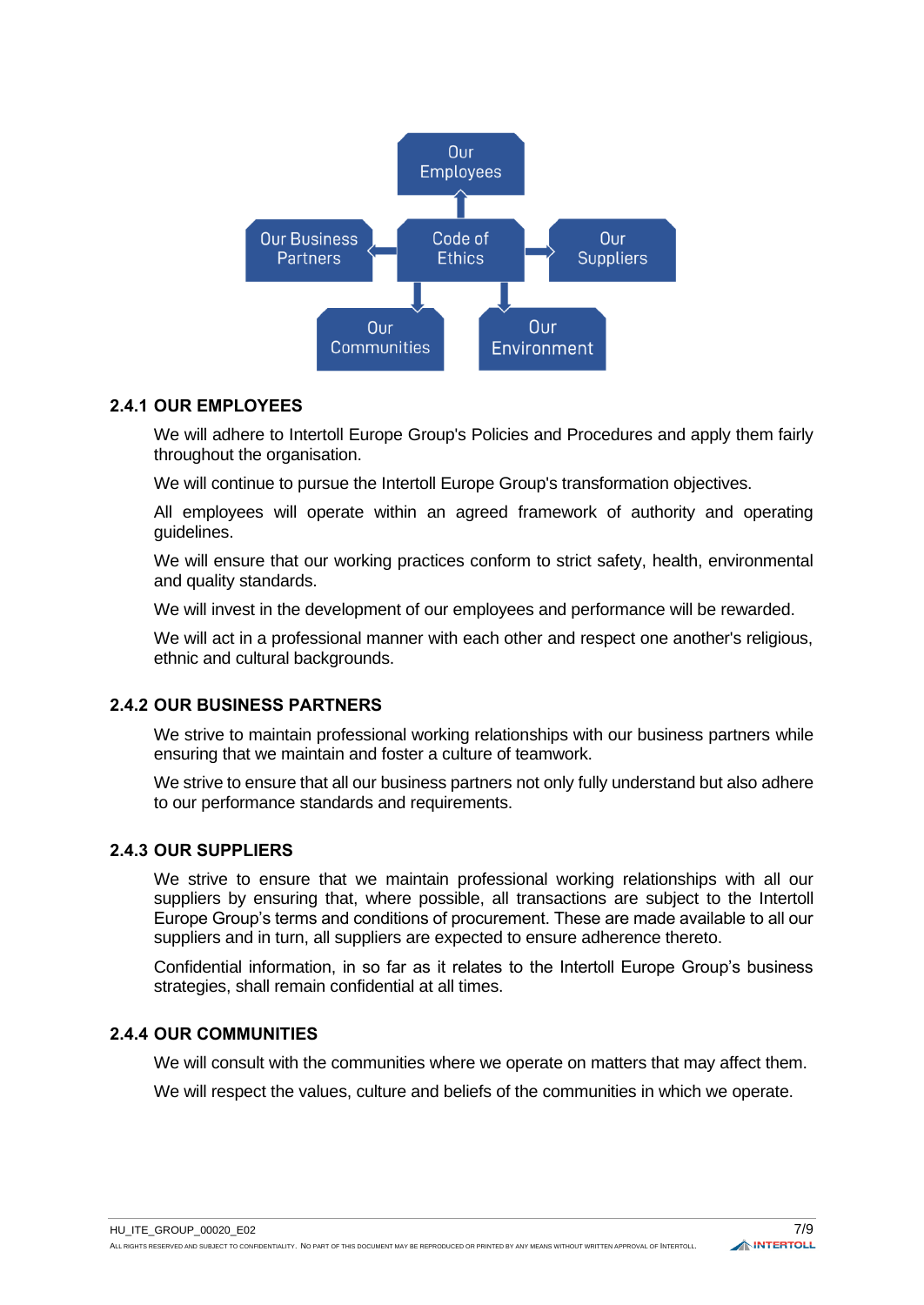

#### **2.4.1 OUR EMPLOYEES**

We will adhere to Intertoll Europe Group's Policies and Procedures and apply them fairly throughout the organisation.

We will continue to pursue the Intertoll Europe Group's transformation objectives.

All employees will operate within an agreed framework of authority and operating guidelines.

We will ensure that our working practices conform to strict safety, health, environmental and quality standards.

We will invest in the development of our employees and performance will be rewarded.

We will act in a professional manner with each other and respect one another's religious, ethnic and cultural backgrounds.

## **2.4.2 OUR BUSINESS PARTNERS**

We strive to maintain professional working relationships with our business partners while ensuring that we maintain and foster a culture of teamwork.

We strive to ensure that all our business partners not only fully understand but also adhere to our performance standards and requirements.

#### **2.4.3 OUR SUPPLIERS**

We strive to ensure that we maintain professional working relationships with all our suppliers by ensuring that, where possible, all transactions are subject to the Intertoll Europe Group's terms and conditions of procurement. These are made available to all our suppliers and in turn, all suppliers are expected to ensure adherence thereto.

Confidential information, in so far as it relates to the Intertoll Europe Group's business strategies, shall remain confidential at all times.

#### **2.4.4 OUR COMMUNITIES**

We will consult with the communities where we operate on matters that may affect them.

We will respect the values, culture and beliefs of the communities in which we operate.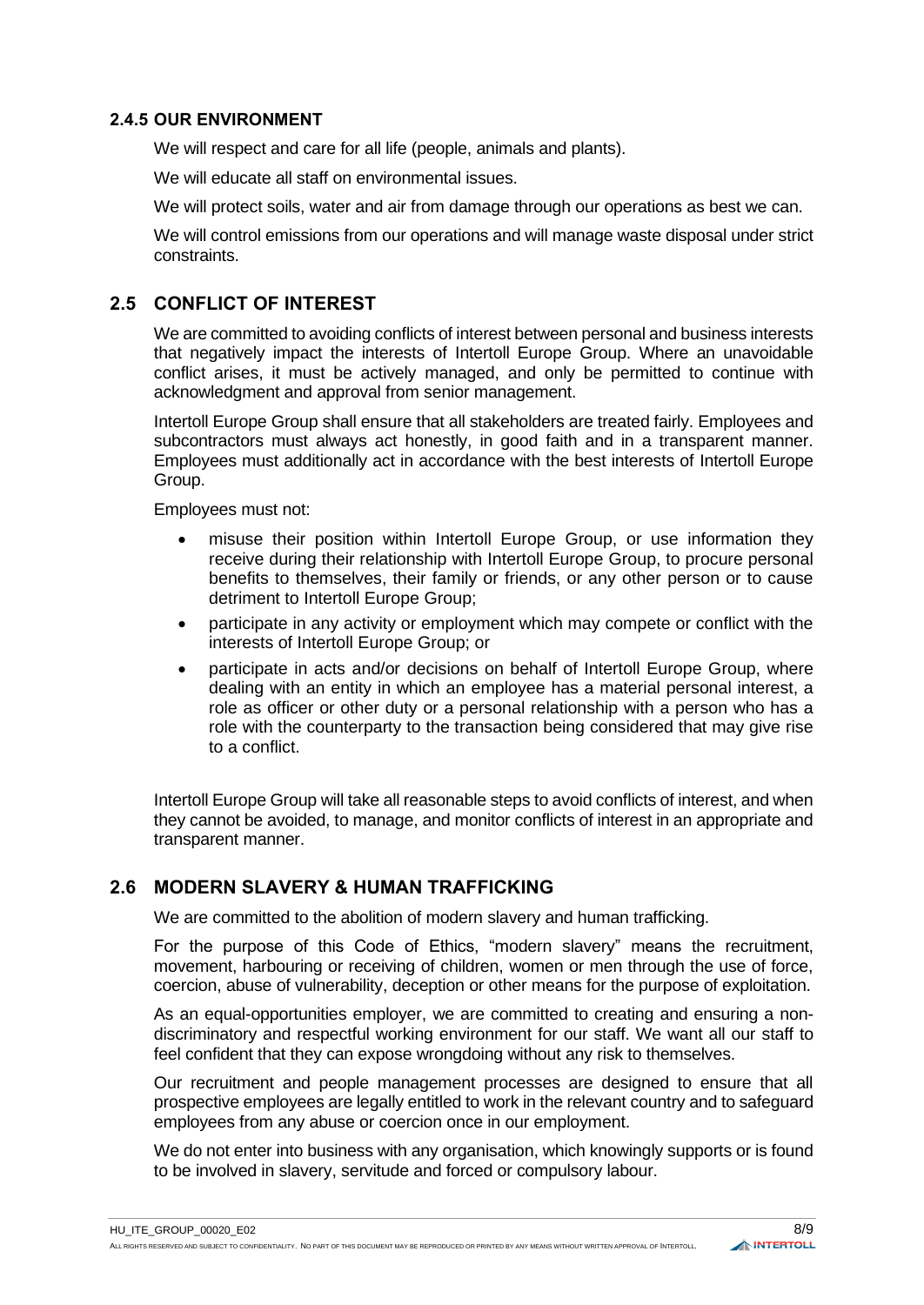#### **2.4.5 OUR ENVIRONMENT**

We will respect and care for all life (people, animals and plants).

We will educate all staff on environmental issues.

We will protect soils, water and air from damage through our operations as best we can.

We will control emissions from our operations and will manage waste disposal under strict constraints.

### <span id="page-7-0"></span>**2.5 CONFLICT OF INTEREST**

We are committed to avoiding conflicts of interest between personal and business interests that negatively impact the interests of Intertoll Europe Group. Where an unavoidable conflict arises, it must be actively managed, and only be permitted to continue with acknowledgment and approval from senior management.

Intertoll Europe Group shall ensure that all stakeholders are treated fairly. Employees and subcontractors must always act honestly, in good faith and in a transparent manner. Employees must additionally act in accordance with the best interests of Intertoll Europe Group.

Employees must not:

- misuse their position within Intertoll Europe Group, or use information they receive during their relationship with Intertoll Europe Group, to procure personal benefits to themselves, their family or friends, or any other person or to cause detriment to Intertoll Europe Group;
- participate in any activity or employment which may compete or conflict with the interests of Intertoll Europe Group; or
- participate in acts and/or decisions on behalf of Intertoll Europe Group, where dealing with an entity in which an employee has a material personal interest, a role as officer or other duty or a personal relationship with a person who has a role with the counterparty to the transaction being considered that may give rise to a conflict.

Intertoll Europe Group will take all reasonable steps to avoid conflicts of interest, and when they cannot be avoided, to manage, and monitor conflicts of interest in an appropriate and transparent manner.

## <span id="page-7-1"></span>**2.6 MODERN SLAVERY & HUMAN TRAFFICKING**

We are committed to the abolition of modern slavery and human trafficking.

For the purpose of this Code of Ethics, "modern slavery" means the recruitment, movement, harbouring or receiving of children, women or men through the use of force, coercion, abuse of vulnerability, deception or other means for the purpose of exploitation.

As an equal-opportunities employer, we are committed to creating and ensuring a nondiscriminatory and respectful working environment for our staff. We want all our staff to feel confident that they can expose wrongdoing without any risk to themselves.

Our recruitment and people management processes are designed to ensure that all prospective employees are legally entitled to work in the relevant country and to safeguard employees from any abuse or coercion once in our employment.

We do not enter into business with any organisation, which knowingly supports or is found to be involved in slavery, servitude and forced or compulsory labour.